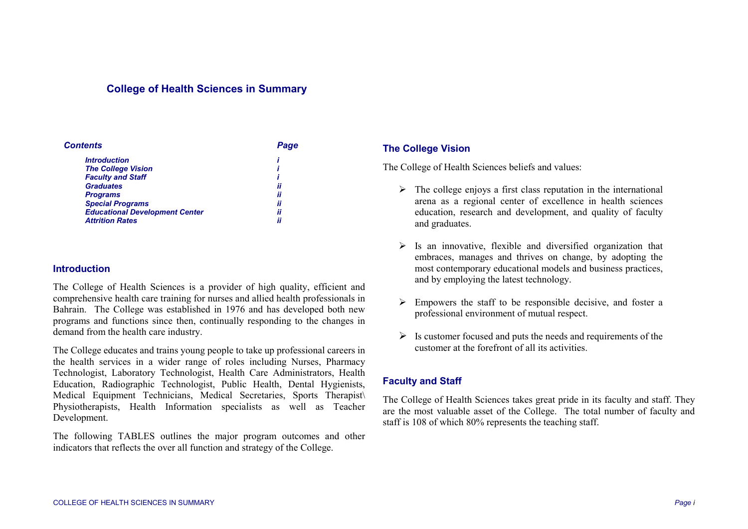# **College of Health Sciences in Summary**

| <b>Contents</b>                       | Page |
|---------------------------------------|------|
| <b>Introduction</b>                   |      |
| <b>The College Vision</b>             |      |
| <b>Faculty and Staff</b>              |      |
| <b>Graduates</b>                      | ii   |
| <b>Programs</b>                       | ii   |
| <b>Special Programs</b>               | ii   |
| <b>Educational Development Center</b> | ii   |
| <b>Attrition Rates</b>                | ii   |

#### **Introduction**

The College of Health Sciences is a provider of high quality, efficient and comprehensive health care training for nurses and allied health professionals in Bahrain. The College was established in 1976 and has developed both new programs and functions since then, continually responding to the changes in demand from the health care industry.

The College educates and trains young people to take up professional careers in the health services in a wider range of roles including Nurses, Pharmacy Technologist, Laboratory Technologist, Health Care Administrators, Health Education, Radiographic Technologist, Public Health, Dental Hygienists, Medical Equipment Technicians, Medical Secretaries, Sports Therapist\ Physiotherapists, Health Information specialists as well as Teacher Development.

The following TABLES outlines the major program outcomes and other indicators that reflects the over all function and strategy of the College.

### **The College Vision**

The College of Health Sciences beliefs and values:

- $\triangleright$  The college enjoys a first class reputation in the international arena as a regional center of excellence in health sciences education, research and development, and quality of faculty and graduates.
- $\triangleright$  Is an innovative, flexible and diversified organization that embraces, manages and thrives on change, by adopting the most contemporary educational models and business practices, and by employing the latest technology.
- $\triangleright$  Empowers the staff to be responsible decisive, and foster a professional environment of mutual respect.
- $\triangleright$  Is customer focused and puts the needs and requirements of the customer at the forefront of all its activities.

### **Faculty and Staff**

The College of Health Sciences takes great pride in its faculty and staff. They are the most valuable asset of the College. The total number of faculty and staff is 108 of which 80% represents the teaching staff.